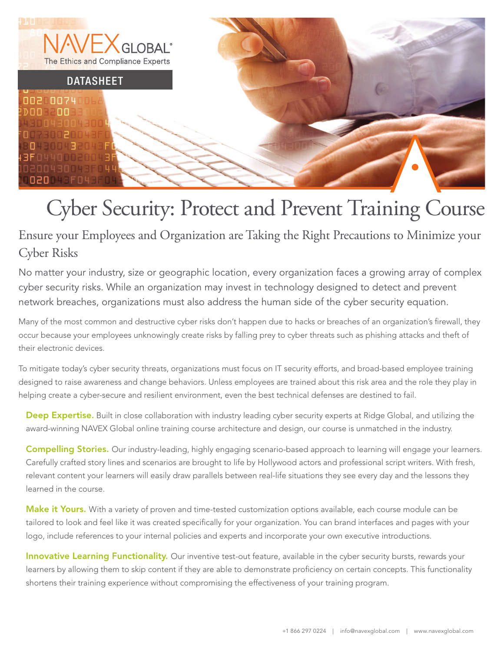

# Cyber Security: Protect and Prevent Training Course

# Ensure your Employees and Organization are Taking the Right Precautions to Minimize your Cyber Risks

No matter your industry, size or geographic location, every organization faces a growing array of complex cyber security risks. While an organization may invest in technology designed to detect and prevent network breaches, organizations must also address the human side of the cyber security equation.

Many of the most common and destructive cyber risks don't happen due to hacks or breaches of an organization's firewall, they occur because your employees unknowingly create risks by falling prey to cyber threats such as phishing attacks and theft of their electronic devices.

To mitigate today's cyber security threats, organizations must focus on IT security efforts, and broad-based employee training designed to raise awareness and change behaviors. Unless employees are trained about this risk area and the role they play in helping create a cyber-secure and resilient environment, even the best technical defenses are destined to fail.

Deep Expertise. Built in close collaboration with industry leading cyber security experts at Ridge Global, and utilizing the award-winning NAVEX Global online training course architecture and design, our course is unmatched in the industry.

Compelling Stories. Our industry-leading, highly engaging scenario-based approach to learning will engage your learners. Carefully crafted story lines and scenarios are brought to life by Hollywood actors and professional script writers. With fresh, relevant content your learners will easily draw parallels between real-life situations they see every day and the lessons they learned in the course.

Make it Yours. With a variety of proven and time-tested customization options available, each course module can be tailored to look and feel like it was created specifically for your organization. You can brand interfaces and pages with your logo, include references to your internal policies and experts and incorporate your own executive introductions.

Innovative Learning Functionality. Our inventive test-out feature, available in the cyber security bursts, rewards your learners by allowing them to skip content if they are able to demonstrate proficiency on certain concepts. This functionality shortens their training experience without compromising the effectiveness of your training program.